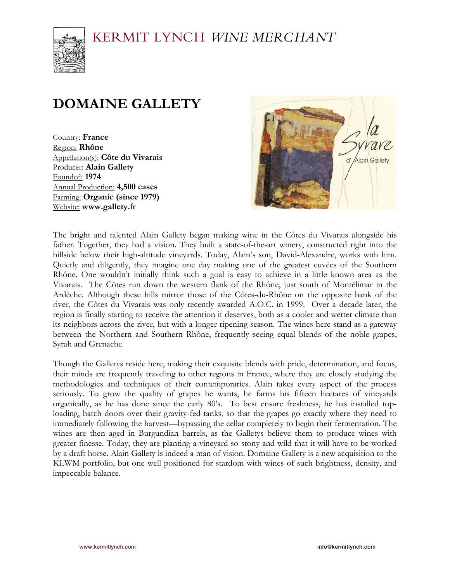## KERMIT LYNCH WINE MERCHANT



# **DOMAINE GALLETY**

Country: **France** Region: **Rhône** Appellation(s): **Côte du Vivarais** Producer: **Alain Gallety** Founded: **1974** Annual Production: **4,500 cases** Farming: **Organic (since 1979)** Website: **www.gallety.fr**



The bright and talented Alain Gallety began making wine in the Côtes du Vivarais alongside his father. Together, they had a vision. They built a state-of-the-art winery, constructed right into the hillside below their high-altitude vineyards. Today, Alain's son, David-Alexandre, works with him. Quietly and diligently, they imagine one day making one of the greatest cuvées of the Southern Rhône. One wouldn't initially think such a goal is easy to achieve in a little known area as the Vivarais. The Côtes run down the western flank of the Rhône, just south of Montélimar in the Ardèche. Although these hills mirror those of the Côtes-du-Rhône on the opposite bank of the river, the Côtes du Vivarais was only recently awarded A.O.C. in 1999. Over a decade later, the region is finally starting to receive the attention it deserves, both as a cooler and wetter climate than its neighbors across the river, but with a longer ripening season. The wines here stand as a gateway between the Northern and Southern Rhône, frequently seeing equal blends of the noble grapes, Syrah and Grenache.

Though the Galletys reside here, making their exquisite blends with pride, determination, and focus, their minds are frequently traveling to other regions in France, where they are closely studying the methodologies and techniques of their contemporaries. Alain takes every aspect of the process seriously. To grow the quality of grapes he wants, he farms his fifteen hectares of vineyards organically, as he has done since the early 80's. To best ensure freshness, he has installed toploading, hatch doors over their gravity-fed tanks, so that the grapes go exactly where they need to immediately following the harvest—bypassing the cellar completely to begin their fermentation. The wines are then aged in Burgundian barrels, as the Galletys believe them to produce wines with greater finesse. Today, they are planting a vineyard so stony and wild that it will have to be worked by a draft horse. Alain Gallety is indeed a man of vision. Domaine Gallety is a new acquisition to the KLWM portfolio, but one well positioned for stardom with wines of such brightness, density, and impeccable balance.